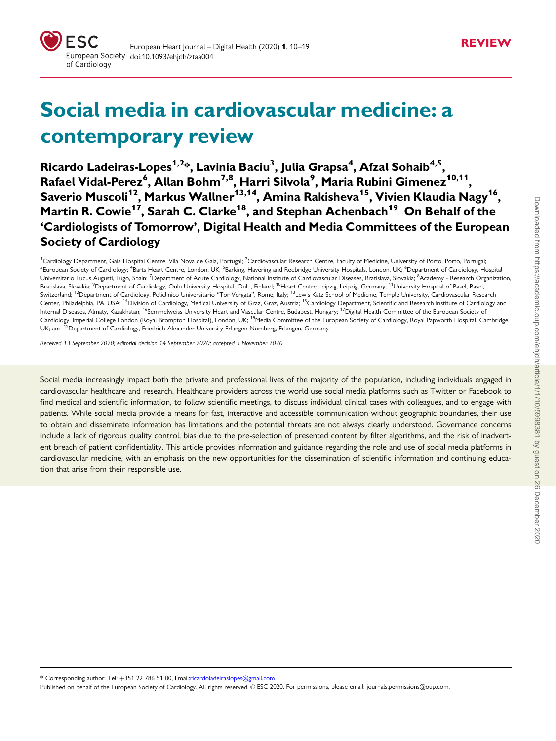

# Social media in cardiovascular medicine: a contemporary review

Ricardo Ladeiras-Lopes<sup>1,2</sup>\*, Lavinia Baciu<sup>3</sup>, Julia Grapsa<sup>4</sup>, Afzal Sohaib<sup>4,5</sup>, Rafael Vidal-Perez<sup>6</sup>, Allan Bohm<sup>7,8</sup>, Harri Silvola<sup>9</sup>, Maria Rubini Gimenez<sup>10,11</sup>, Saverio Muscoli<sup>12</sup>, Markus Wallner<sup>13,14</sup>, Amina Rakisheva<sup>15</sup>, Vivien Klaudia Nagy<sup>16</sup>, Martin R. Cowie<sup>17</sup>, Sarah C. Clarke<sup>18</sup>, and Stephan Achenbach<sup>19</sup> On Behalf of the 'Cardiologists of Tomorrow', Digital Health and Media Committees of the European Society of Cardiology

<sup>1</sup>Cardiology Department, Gaia Hospital Centre, Vila Nova de Gaia, Portugal; <sup>2</sup>Cardiovascular Research Centre, Faculty of Medicine, University of Porto, Porto, Portugal: <sup>3</sup>European Society of Cardiology; <sup>4</sup>Barts Heart Centre, London, UK; <sup>5</sup>Barking, Havering and Redbridge University Hospitals, London, UK; <sup>6</sup>Department of Cardiology, Hospital Universitario Lucus Augusti, Lugo, Spain; <sup>7</sup>Department of Acute Cardiology, National Institute of Cardiovascular Diseases, Bratislava, Slovakia; <sup>8</sup>Academy - Research Organization. Bratislava, Slovakia; <sup>9</sup>Department of Cardiology, Oulu University Hospital, Oulu, Finland; <sup>10</sup>Heart Centre Leipzig, Leipzig, Germany; <sup>11</sup>University Hospital of Basel, Basel Switzerland; <sup>12</sup>Department of Cardiology, Policlinico Universitario "Tor Vergata", Rome, Italy; <sup>13</sup>Lewis Katz School of Medicine, Temple University, Cardiovascular Research Center, Philadelphia, PA, USA; <sup>14</sup>Division of Cardiology, Medical University of Graz, Graz, Austria; <sup>15</sup>Cardiology Department, Scientific and Research Institute of Cardiology and Internal Diseases, Almaty, Kazakhstan; <sup>16</sup>Semmelweiss University Heart and Vascular Centre, Budapest, Hungary; <sup>17</sup>Digital Health Committee of the European Society of Cardiology, Imperial College London (Royal Brompton Hospital), London, UK; <sup>18</sup>Media Committee of the European Society of Cardiology, Royal Papworth Hospital, Cambridge, UK; and <sup>19</sup>Department of Cardiology, Friedrich-Alexander-University Erlangen-Nürnberg, Erlangen, Germany

Received 13 September 2020; editorial decision 14 September 2020; accepted 5 November 2020

Social media increasingly impact both the private and professional lives of the majority of the population, including individuals engaged in cardiovascular healthcare and research. Healthcare providers across the world use social media platforms such as Twitter or Facebook to find medical and scientific information, to follow scientific meetings, to discuss individual clinical cases with colleagues, and to engage with patients. While social media provide a means for fast, interactive and accessible communication without geographic boundaries, their use to obtain and disseminate information has limitations and the potential threats are not always clearly understood. Governance concerns include a lack of rigorous quality control, bias due to the pre-selection of presented content by filter algorithms, and the risk of inadvertent breach of patient confidentiality. This article provides information and guidance regarding the role and use of social media platforms in cardiovascular medicine, with an emphasis on the new opportunities for the dissemination of scientific information and continuing education that arise from their responsible use.

\* Corresponding author. Tel: þ351 22 786 51 00, Email:ricardoladeiraslopes@gmail.com

Published on behalf of the European Society of Cardiology. All rights reserved. © ESC 2020. For permissions, please email: journals.permissions@oup.com.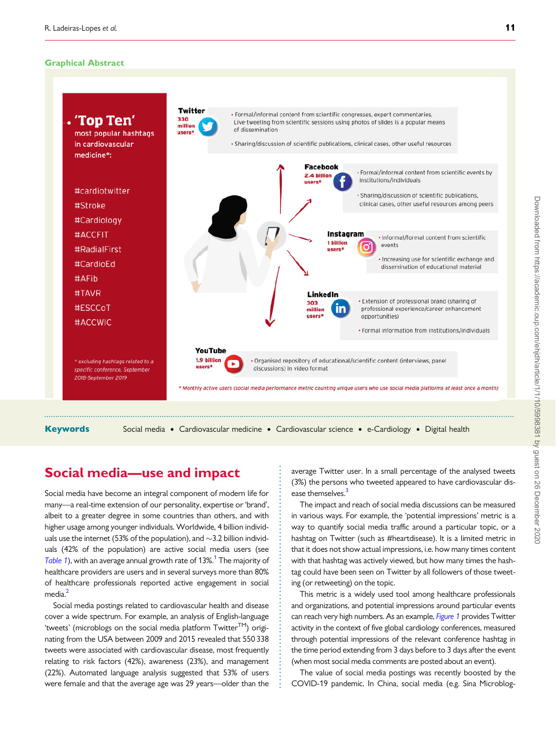#### <span id="page-1-0"></span>Graphical Abstract



. . . . . . . . . . . . . . . . . . . . . . . . . . . . . . . . . . . . . . . . . . . . . . . . . . . . . . . . . . . . .

# Social media—use and impact

Social media have become an integral component of modern life for many—a real-time extension of our personality, expertise or 'brand', albeit to a greater degree in some countries than others, and with higher usage among younger individuals. Worldwide, 4 billion individuals use the internet (53% of the population), and  ${\sim}$ 3.2 billion individuals (42% of the population) are active social media users (see [Table 1](#page-2-0)), with an average annual growth rate of 13%.<sup>1</sup> The majority of healthcare providers are users and in several surveys more than 80% of healthcare professionals reported active engagement in social media.<sup>[2](#page-9-0)</sup>

Social media postings related to cardiovascular health and disease cover a wide spectrum. For example, an analysis of English-language 'tweets' (microblogs on the social media platform  $Twitter^{TM}$ ) originating from the USA between 2009 and 2015 revealed that 550 338 tweets were associated with cardiovascular disease, most frequently relating to risk factors (42%), awareness (23%), and management (22%). Automated language analysis suggested that 53% of users were female and that the average age was 29 years—older than the

average Twitter user. In a small percentage of the analysed tweets (3%) the persons who tweeted appeared to have cardiovascular disease themselves.<sup>3</sup>

The impact and reach of social media discussions can be measured in various ways. For example, the 'potential impressions' metric is a way to quantify social media traffic around a particular topic, or a hashtag on Twitter (such as #heartdisease). It is a limited metric in that it does not show actual impressions, i.e. how many times content with that hashtag was actively viewed, but how many times the hashtag could have been seen on Twitter by all followers of those tweeting (or retweeting) on the topic.

This metric is a widely used tool among healthcare professionals and organizations, and potential impressions around particular events can reach very high numbers. As an example, *[Figure 1](#page-3-0)* provides Twitter activity in the context of five global cardiology conferences, measured through potential impressions of the relevant conference hashtag in the time period extending from 3 days before to 3 days after the event (when most social media comments are posted about an event).

The value of social media postings was recently boosted by the COVID-19 pandemic. In China, social media (e.g. Sina Microblog-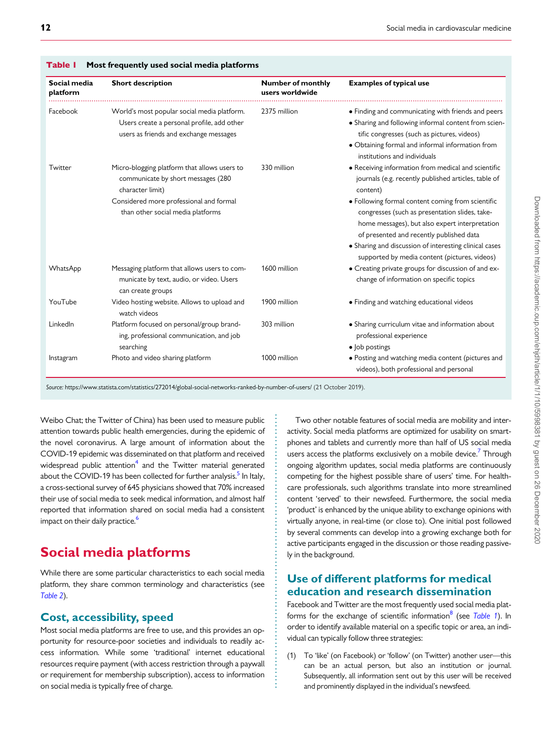| Social media<br>platform | <b>Short description</b>                                                                                                                                                               | <b>Number of monthly</b><br>users worldwide | <b>Examples of typical use</b>                                                                                                                                                                                                                                                                                                                                                         |  |
|--------------------------|----------------------------------------------------------------------------------------------------------------------------------------------------------------------------------------|---------------------------------------------|----------------------------------------------------------------------------------------------------------------------------------------------------------------------------------------------------------------------------------------------------------------------------------------------------------------------------------------------------------------------------------------|--|
| Facebook                 | World's most popular social media platform.<br>Users create a personal profile, add other<br>users as friends and exchange messages                                                    | 2375 million                                | • Finding and communicating with friends and peers<br>• Sharing and following informal content from scien-<br>tific congresses (such as pictures, videos)<br>• Obtaining formal and informal information from<br>institutions and individuals                                                                                                                                          |  |
| Twitter                  | Micro-blogging platform that allows users to<br>communicate by short messages (280<br>character limit)<br>Considered more professional and formal<br>than other social media platforms | 330 million                                 | • Receiving information from medical and scientific<br>journals (e.g. recently published articles, table of<br>content)<br>• Following formal content coming from scientific<br>congresses (such as presentation slides, take-<br>home messages), but also expert interpretation<br>of presented and recently published data<br>• Sharing and discussion of interesting clinical cases |  |
| WhatsApp                 | Messaging platform that allows users to com-<br>municate by text, audio, or video. Users<br>can create groups                                                                          | 1600 million                                | supported by media content (pictures, videos)<br>• Creating private groups for discussion of and ex-<br>change of information on specific topics                                                                                                                                                                                                                                       |  |
| YouTube                  | Video hosting website. Allows to upload and<br>watch videos                                                                                                                            | 1900 million                                | • Finding and watching educational videos                                                                                                                                                                                                                                                                                                                                              |  |
| LinkedIn                 | Platform focused on personal/group brand-<br>ing, professional communication, and job<br>searching                                                                                     | 303 million                                 | • Sharing curriculum vitae and information about<br>professional experience<br>• Job postings                                                                                                                                                                                                                                                                                          |  |
| Instagram                | Photo and video sharing platform                                                                                                                                                       | 1000 million                                | • Posting and watching media content (pictures and<br>videos), both professional and personal                                                                                                                                                                                                                                                                                          |  |

. . . . . . . . . . . . . . . . . . . . . . . . . . . . . . . . . . . . . . . . . . . . . . . . . . . . . . . . . . . . . . . . . . . . . . . . . .

### <span id="page-2-0"></span>Table | Most frequently used social media platforms

Source: <https://www.statista.com/statistics/272014/global-social-networks-ranked-by-number-of-users/> (21 October 2019).

. Weibo Chat; the Twitter of China) has been used to measure public attention towards public health emergencies, during the epidemic of the novel coronavirus. A large amount of information about the COVID-19 epidemic was disseminated on that platform and received widespread public attention<sup>4</sup> and the Twitter material generated about the COVID-19 has been collected for further analysis.<sup>[5](#page-9-0)</sup> In Italy, a cross-sectional survey of 645 physicians showed that 70% increased their use of social media to seek medical information, and almost half reported that information shared on social media had a consistent impact on their daily practice.<sup>6</sup>

# Social media platforms

While there are some particular characteristics to each social media platform, they share common terminology and characteristics (see [Table 2](#page-4-0)).

### Cost, accessibility, speed

Most social media platforms are free to use, and this provides an opportunity for resource-poor societies and individuals to readily access information. While some 'traditional' internet educational resources require payment (with access restriction through a paywall or requirement for membership subscription), access to information on social media is typically free of charge.

Two other notable features of social media are mobility and interactivity. Social media platforms are optimized for usability on smartphones and tablets and currently more than half of US social media users access the platforms exclusively on a mobile device.<sup>[7](#page-9-0)</sup> Through ongoing algorithm updates, social media platforms are continuously competing for the highest possible share of users' time. For healthcare professionals, such algorithms translate into more streamlined content 'served' to their newsfeed. Furthermore, the social media 'product' is enhanced by the unique ability to exchange opinions with virtually anyone, in real-time (or close to). One initial post followed by several comments can develop into a growing exchange both for active participants engaged in the discussion or those reading passively in the background.

## Use of different platforms for medical education and research dissemination

Facebook and Twitter are the most frequently used social media platforms for the exchange of scientific information $8$  (see Table 1). In order to identify available material on a specific topic or area, an individual can typically follow three strategies:

(1) To 'like' (on Facebook) or 'follow' (on Twitter) another user—this can be an actual person, but also an institution or journal. Subsequently, all information sent out by this user will be received and prominently displayed in the individual's newsfeed.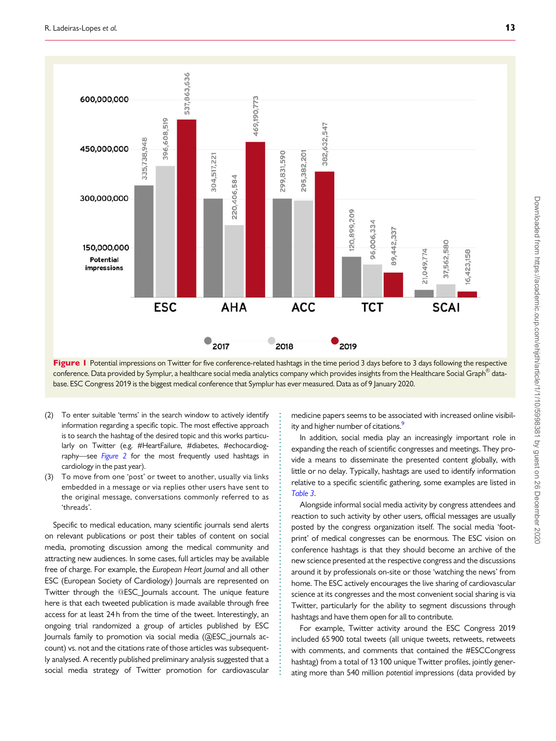<span id="page-3-0"></span>

Figure I Potential impressions on Twitter for five conference-related hashtags in the time period 3 days before to 3 days following the respective conference. Data provided by Symplur, a healthcare social media analytics company which provides insights from the Healthcare Social Graph $^\circled$  database. ESC Congress 2019 is the biggest medical conference that Symplur has ever measured. Data as of 9 January 2020.

> . . . . . . . . . . . . . . . . . . . . . . . . . . . . . . . . . . . . . . . . . . . . . . . . . . . . . . . . . . . . . . . . . . . . . . .

- . (2) To enter suitable 'terms' in the search window to actively identify information regarding a specific topic. The most effective approach is to search the hashtag of the desired topic and this works particularly on Twitter (e.g. #HeartFailure, #diabetes, #echocardiog-raphy-see [Figure 2](#page-5-0) for the most frequently used hashtags in cardiology in the past year).
- (3) To move from one 'post' or tweet to another, usually via links embedded in a message or via replies other users have sent to the original message, conversations commonly referred to as 'threads'.

Specific to medical education, many scientific journals send alerts on relevant publications or post their tables of content on social media, promoting discussion among the medical community and attracting new audiences. In some cases, full articles may be available free of charge. For example, the European Heart Journal and all other ESC (European Society of Cardiology) Journals are represented on Twitter through the @ESC\_Journals account. The unique feature here is that each tweeted publication is made available through free access for at least 24 h from the time of the tweet. Interestingly, an ongoing trial randomized a group of articles published by ESC Journals family to promotion via social media (@ESC\_journals account) vs. not and the citations rate of those articles was subsequently analysed. A recently published preliminary analysis suggested that a social media strategy of Twitter promotion for cardiovascular medicine papers seems to be associated with increased online visibility and higher number of citations.<sup>9</sup>

In addition, social media play an increasingly important role in expanding the reach of scientific congresses and meetings. They provide a means to disseminate the presented content globally, with little or no delay. Typically, hashtags are used to identify information relative to a specific scientific gathering, some examples are listed in [Table 3](#page-5-0).

Alongside informal social media activity by congress attendees and reaction to such activity by other users, official messages are usually posted by the congress organization itself. The social media 'footprint' of medical congresses can be enormous. The ESC vision on conference hashtags is that they should become an archive of the new science presented at the respective congress and the discussions around it by professionals on-site or those 'watching the news' from home. The ESC actively encourages the live sharing of cardiovascular science at its congresses and the most convenient social sharing is via Twitter, particularly for the ability to segment discussions through hashtags and have them open for all to contribute.

For example, Twitter activity around the ESC Congress 2019 included 65 900 total tweets (all unique tweets, retweets, retweets with comments, and comments that contained the #ESCCongress hashtag) from a total of 13 100 unique Twitter profiles, jointly generating more than 540 million potential impressions (data provided by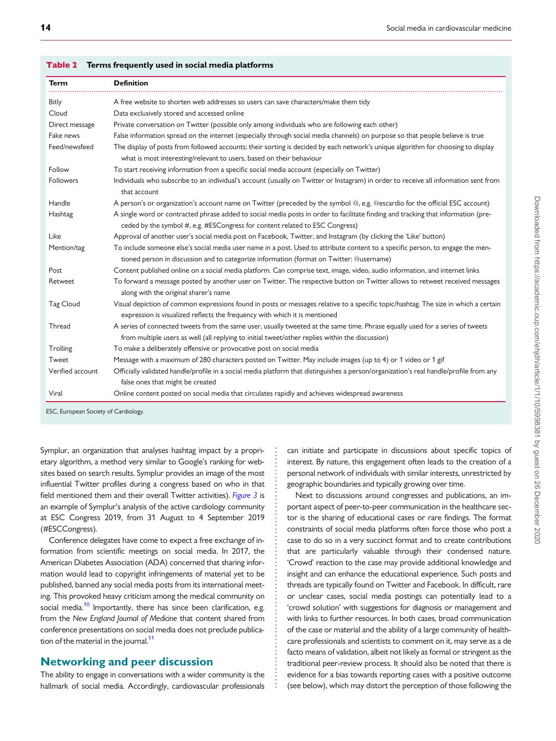| <b>Term</b>      | <b>Definition</b>                                                                                                                                                                                                                |  |  |
|------------------|----------------------------------------------------------------------------------------------------------------------------------------------------------------------------------------------------------------------------------|--|--|
| Bitly            | A free website to shorten web addresses so users can save characters/make them tidy                                                                                                                                              |  |  |
| Cloud            | Data exclusively stored and accessed online                                                                                                                                                                                      |  |  |
| Direct message   | Private conversation on Twitter (possible only among individuals who are following each other)                                                                                                                                   |  |  |
| Fake news        | False information spread on the internet (especially through social media channels) on purpose so that people believe is true                                                                                                    |  |  |
| Feed/newsfeed    | The display of posts from followed accounts; their sorting is decided by each network's unique algorithm for choosing to display<br>what is most interesting/relevant to users, based on their behaviour                         |  |  |
| Follow           | To start receiving information from a specific social media account (especially on Twitter)                                                                                                                                      |  |  |
| Followers        | Individuals who subscribe to an individual's account (usually on Twitter or Instagram) in order to receive all information sent from<br>that account                                                                             |  |  |
| Handle           | A person's or organization's account name on Twitter (preceded by the symbol @, e.g. @escardio for the official ESC account)                                                                                                     |  |  |
| Hashtag          | A single word or contracted phrase added to social media posts in order to facilitate finding and tracking that information (pre-<br>ceded by the symbol #, e.g. #ESCongress for content related to ESC Congress)                |  |  |
| Like             | Approval of another user's social media post on Facebook, Twitter, and Instagram (by clicking the 'Like' button)                                                                                                                 |  |  |
| Mention/tag      | To include someone else's social media user name in a post. Used to attribute content to a specific person, to engage the men-<br>tioned person in discussion and to categorize information (format on Twitter: @username)       |  |  |
| Post             | Content published online on a social media platform. Can comprise text, image, video, audio information, and internet links                                                                                                      |  |  |
| Retweet          | To forward a message posted by another user on Twitter. The respective button on Twitter allows to retweet received messages<br>along with the original sharer's name                                                            |  |  |
| Tag Cloud        | Visual depiction of common expressions found in posts or messages relative to a specific topic/hashtag. The size in which a certain<br>expression is visualized reflects the frequency with which it is mentioned                |  |  |
| <b>Thread</b>    | A series of connected tweets from the same user, usually tweeted at the same time. Phrase equally used for a series of tweets<br>from multiple users as well (all replying to initial tweet/other replies within the discussion) |  |  |
| Trolling         | To make a deliberately offensive or provocative post on social media                                                                                                                                                             |  |  |
| Tweet            | Message with a maximum of 280 characters posted on Twitter. May include images (up to 4) or 1 video or 1 gif                                                                                                                     |  |  |
| Verified account | Officially validated handle/profile in a social media platform that distinguishes a person/organization's real handle/profile from any<br>false ones that might be created                                                       |  |  |
| Viral            | Online content posted on social media that circulates rapidly and achieves widespread awareness                                                                                                                                  |  |  |

. . . . . . . . . . . . . . . . . . . . . . . . . . . . . . . . . . . . . . . . . . . . . . . . . . . . . . . . . . . . . . . . .

<span id="page-4-0"></span>Table 2 Terms frequently used in social media platforms

ESC, European Society of Cardiology.

. Symplur, an organization that analyses hashtag impact by a proprietary algorithm, a method very similar to Google's ranking for websites based on search results. Symplur provides an image of the most influential Twitter profiles during a congress based on who in that field mentioned them and their overall Twitter activities). [Figure 3](#page-6-0) is an example of Symplur's analysis of the active cardiology community at ESC Congress 2019, from 31 August to 4 September 2019 (#ESCCongress).

Conference delegates have come to expect a free exchange of information from scientific meetings on social media. In 2017, the American Diabetes Association (ADA) concerned that sharing information would lead to copyright infringements of material yet to be published, banned any social media posts from its international meeting. This provoked heavy criticism among the medical community on social media.<sup>10</sup> Importantly, there has since been clarification, e.g. from the New England Journal of Medicine that content shared from conference presentations on social media does not preclude publica-tion of the material in the journal.<sup>[11](#page-9-0)</sup>

### Networking and peer discussion

The ability to engage in conversations with a wider community is the hallmark of social media. Accordingly, cardiovascular professionals can initiate and participate in discussions about specific topics of interest. By nature, this engagement often leads to the creation of a personal network of individuals with similar interests, unrestricted by geographic boundaries and typically growing over time.

Next to discussions around congresses and publications, an important aspect of peer-to-peer communication in the healthcare sector is the sharing of educational cases or rare findings. The format constraints of social media platforms often force those who post a case to do so in a very succinct format and to create contributions that are particularly valuable through their condensed nature. 'Crowd' reaction to the case may provide additional knowledge and insight and can enhance the educational experience. Such posts and threads are typically found on Twitter and Facebook. In difficult, rare or unclear cases, social media postings can potentially lead to a 'crowd solution' with suggestions for diagnosis or management and with links to further resources. In both cases, broad communication of the case or material and the ability of a large community of healthcare professionals and scientists to comment on it, may serve as a de facto means of validation, albeit not likely as formal or stringent as the traditional peer-review process. It should also be noted that there is evidence for a bias towards reporting cases with a positive outcome (see below), which may distort the perception of those following the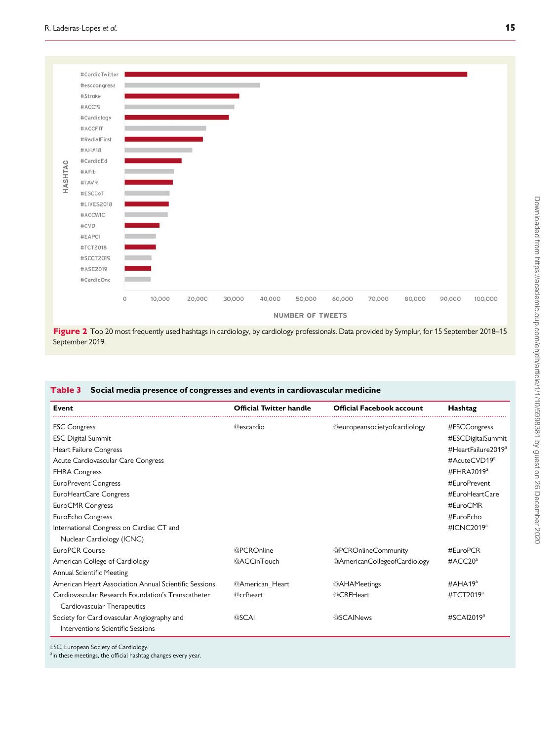<span id="page-5-0"></span>

Figure 2 Top 20 most frequently used hashtags in cardiology, by cardiology professionals. Data provided by Symplur, for 15 September 2018–15 September 2019.

### Table 3 Social media presence of congresses and events in cardiovascular medicine

| Event                                                 | <b>Official Twitter handle</b> | <b>Official Facebook account</b>    | Hashtag                             |  |  |
|-------------------------------------------------------|--------------------------------|-------------------------------------|-------------------------------------|--|--|
| <b>ESC Congress</b>                                   | <b>@escardio</b>               | <b>@europeansocietyofcardiology</b> | #ESCCongress                        |  |  |
| <b>ESC Digital Summit</b>                             |                                |                                     | #ESCDigitalSummit                   |  |  |
| Heart Failure Congress                                |                                |                                     | $\#$ HeartFailure 2019 <sup>a</sup> |  |  |
| Acute Cardiovascular Care Congress                    |                                |                                     | #AcuteCVD19 <sup>a</sup>            |  |  |
| <b>EHRA Congress</b>                                  |                                |                                     | #EHRA2019 $a$                       |  |  |
| <b>EuroPrevent Congress</b>                           |                                |                                     | #EuroPrevent                        |  |  |
| EuroHeartCare Congress                                |                                |                                     | #FuroHeartCare                      |  |  |
| EuroCMR Congress                                      |                                |                                     | #EuroCMR                            |  |  |
| EuroEcho Congress                                     |                                |                                     | #EuroEcho                           |  |  |
| International Congress on Cardiac CT and              |                                |                                     | #ICNC2019 <sup>a</sup>              |  |  |
| Nuclear Cardiology (ICNC)                             |                                |                                     |                                     |  |  |
| EuroPCR Course                                        | @PCROnline                     | @PCROnlineCommunity                 | #EuroPCR                            |  |  |
| American College of Cardiology                        | @ACCinTouch                    | @AmericanCollegeofCardiology        | $\#$ ACC20 <sup>a</sup>             |  |  |
| Annual Scientific Meeting                             |                                |                                     |                                     |  |  |
| American Heart Association Annual Scientific Sessions | @American_Heart                | @AHAMeetings                        | $\#AHA19^a$                         |  |  |
| Cardiovascular Research Foundation's Transcatheter    | <b>@crfheart</b>               | @CRFHeart                           | #TCT2019 <sup>a</sup>               |  |  |
| Cardiovascular Therapeutics                           |                                |                                     |                                     |  |  |
| Society for Cardiovascular Angiography and            | <b>@SCAI</b>                   | <b>@SCAINews</b>                    | $\#$ SCAI2019 <sup>a</sup>          |  |  |
| Interventions Scientific Sessions                     |                                |                                     |                                     |  |  |

ESC, European Society of Cardiology.

<sup>a</sup>In these meetings, the official hashtag changes every year.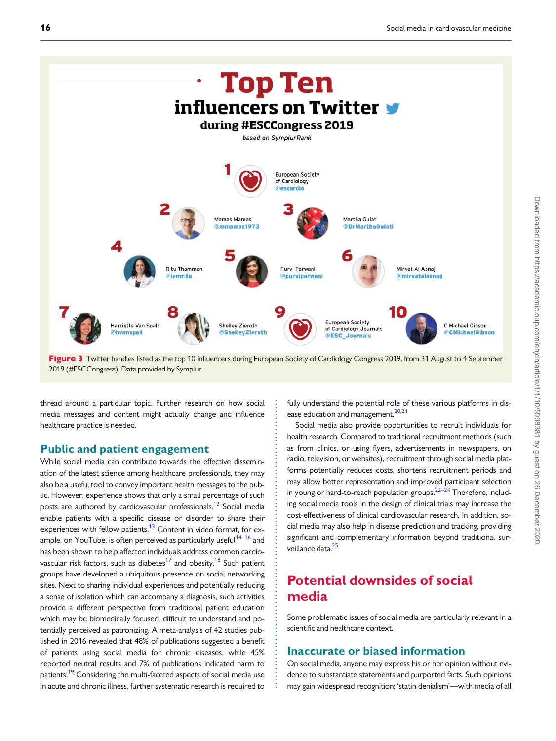<span id="page-6-0"></span>

Figure 3 Twitter handles listed as the top 10 influencers during European Society of Cardiology Congress 2019, from 31 August to 4 September 2019 (#ESCCongress). Data provided by Symplur.

. . . . . . . . . . . . . . . . . . . . . . . . . . . . . . . . . . . . . . . . . . . . . . . . . . . . . . . . . . . . . . . . . . . . . . . . . . . . . .

. thread around a particular topic. Further research on how social media messages and content might actually change and influence healthcare practice is needed.

### Public and patient engagement

While social media can contribute towards the effective dissemination of the latest science among healthcare professionals, they may also be a useful tool to convey important health messages to the public. However, experience shows that only a small percentage of such posts are authored by cardiovascular professionals.<sup>[12](#page-9-0)</sup> Social media enable patients with a specific disease or disorder to share their experiences with fellow patients.<sup>13</sup> Content in video format, for example, on YouTube, is often perceived as particularly useful<sup>14–16</sup> and has been shown to help affected individuals address common cardio-vascular risk factors, such as diabetes<sup>17</sup> and obesity.<sup>[18](#page-9-0)</sup> Such patient groups have developed a ubiquitous presence on social networking sites. Next to sharing individual experiences and potentially reducing a sense of isolation which can accompany a diagnosis, such activities provide a different perspective from traditional patient education which may be biomedically focused, difficult to understand and potentially perceived as patronizing. A meta-analysis of 42 studies published in 2016 revealed that 48% of publications suggested a benefit of patients using social media for chronic diseases, while 45% reported neutral results and 7% of publications indicated harm to patients.<sup>[19](#page-9-0)</sup> Considering the multi-faceted aspects of social media use in acute and chronic illness, further systematic research is required to

fully understand the potential role of these various platforms in dis-ease education and management.<sup>[20,21](#page-9-0)</sup>

Social media also provide opportunities to recruit individuals for health research. Compared to traditional recruitment methods (such as from clinics, or using flyers, advertisements in newspapers, on radio, television, or websites), recruitment through social media platforms potentially reduces costs, shortens recruitment periods and may allow better representation and improved participant selection in young or hard-to-reach population groups.<sup>22–24</sup> Therefore, including social media tools in the design of clinical trials may increase the cost-effectiveness of clinical cardiovascular research. In addition, social media may also help in disease prediction and tracking, providing significant and complementary information beyond traditional sur-veillance data.<sup>[25](#page-9-0)</sup>

# Potential downsides of social media

Some problematic issues of social media are particularly relevant in a scientific and healthcare context.

### Inaccurate or biased information

On social media, anyone may express his or her opinion without evidence to substantiate statements and purported facts. Such opinions may gain widespread recognition; 'statin denialism'—with media of all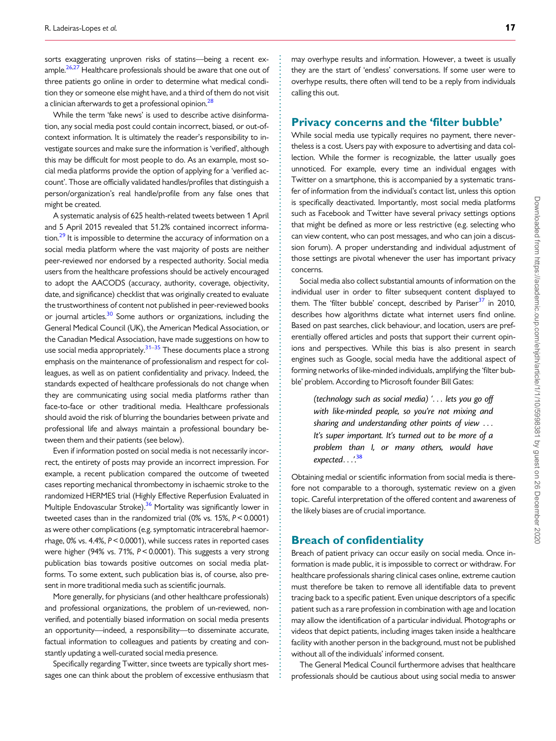<span id="page-7-0"></span>sorts exaggerating unproven risks of statins—being a recent ex-ample.<sup>[26](#page-9-0),[27](#page-9-0)</sup> Healthcare professionals should be aware that one out of three patients go online in order to determine what medical condition they or someone else might have, and a third of them do not visit a clinician afterwards to get a professional opinion.<sup>28</sup>

While the term 'fake news' is used to describe active disinformation, any social media post could contain incorrect, biased, or out-ofcontext information. It is ultimately the reader's responsibility to investigate sources and make sure the information is 'verified', although this may be difficult for most people to do. As an example, most social media platforms provide the option of applying for a 'verified account'. Those are officially validated handles/profiles that distinguish a person/organization's real handle/profile from any false ones that might be created.

A systematic analysis of 625 health-related tweets between 1 April and 5 April 2015 revealed that 51.2% contained incorrect information.<sup>29</sup> It is impossible to determine the accuracy of information on a social media platform where the vast majority of posts are neither peer-reviewed nor endorsed by a respected authority. Social media users from the healthcare professions should be actively encouraged to adopt the AACODS (accuracy, authority, coverage, objectivity, date, and significance) checklist that was originally created to evaluate the trustworthiness of content not published in peer-reviewed books or journal articles.<sup>30</sup> Some authors or organizations, including the General Medical Council (UK), the American Medical Association, or the Canadian Medical Association, have made suggestions on how to use social media appropriately.<sup>[31–35](#page-9-0)</sup> These documents place a strong emphasis on the maintenance of professionalism and respect for colleagues, as well as on patient confidentiality and privacy. Indeed, the standards expected of healthcare professionals do not change when they are communicating using social media platforms rather than face-to-face or other traditional media. Healthcare professionals should avoid the risk of blurring the boundaries between private and professional life and always maintain a professional boundary between them and their patients (see below).

Even if information posted on social media is not necessarily incorrect, the entirety of posts may provide an incorrect impression. For example, a recent publication compared the outcome of tweeted cases reporting mechanical thrombectomy in ischaemic stroke to the randomized HERMES trial (Highly Effective Reperfusion Evaluated in Multiple Endovascular Stroke).<sup>36</sup> Mortality was significantly lower in tweeted cases than in the randomized trial (0% vs. 15%, P < 0.0001) as were other complications (e.g. symptomatic intracerebral haemorrhage, 0% vs. 4.4%, P< 0.0001), while success rates in reported cases were higher (94% vs. 71%, P < 0.0001). This suggests a very strong publication bias towards positive outcomes on social media platforms. To some extent, such publication bias is, of course, also present in more traditional media such as scientific journals.

More generally, for physicians (and other healthcare professionals) and professional organizations, the problem of un-reviewed, nonverified, and potentially biased information on social media presents an opportunity—indeed, a responsibility—to disseminate accurate, factual information to colleagues and patients by creating and constantly updating a well-curated social media presence.

Specifically regarding Twitter, since tweets are typically short messages one can think about the problem of excessive enthusiasm that

may overhype results and information. However, a tweet is usually they are the start of 'endless' conversations. If some user were to overhype results, there often will tend to be a reply from individuals calling this out.

#### Privacy concerns and the 'filter bubble'

While social media use typically requires no payment, there nevertheless is a cost. Users pay with exposure to advertising and data collection. While the former is recognizable, the latter usually goes unnoticed. For example, every time an individual engages with Twitter on a smartphone, this is accompanied by a systematic transfer of information from the individual's contact list, unless this option is specifically deactivated. Importantly, most social media platforms such as Facebook and Twitter have several privacy settings options that might be defined as more or less restrictive (e.g. selecting who can view content, who can post messages, and who can join a discussion forum). A proper understanding and individual adjustment of those settings are pivotal whenever the user has important privacy concerns.

Social media also collect substantial amounts of information on the individual user in order to filter subsequent content displayed to them. The 'filter bubble' concept, described by Pariser $37$  in 2010, describes how algorithms dictate what internet users find online. Based on past searches, click behaviour, and location, users are preferentially offered articles and posts that support their current opinions and perspectives. While this bias is also present in search engines such as Google, social media have the additional aspect of forming networks of like-minded individuals, amplifying the 'filter bubble' problem. According to Microsoft founder Bill Gates:

(technology such as social media) '... lets you go off with like-minded people, so you're not mixing and sharing and understanding other points of view ... It's super important. It's turned out to be more of a problem than I, or many others, would have expected...'.<sup>[38](#page-9-0)</sup>

Obtaining medial or scientific information from social media is therefore not comparable to a thorough, systematic review on a given topic. Careful interpretation of the offered content and awareness of the likely biases are of crucial importance.

### Breach of confidentiality

. . . . . . . . . . . . . . . . . . . . . . . . . . . . . . . . . . . . . . . . . . . . . . . . . . . . . . . . . . . . . . . . . . . . . . . . . . . . . . . . . . . . . . . . . . . . . . . . . . . . . . . . . . . . . . . . . . . . . . . . . . . . . . . . . . . . . . . . . . . . . . . . . . . . . . . . . . . . . . . . . . . . . . . . .

Breach of patient privacy can occur easily on social media. Once information is made public, it is impossible to correct or withdraw. For healthcare professionals sharing clinical cases online, extreme caution must therefore be taken to remove all identifiable data to prevent tracing back to a specific patient. Even unique descriptors of a specific patient such as a rare profession in combination with age and location may allow the identification of a particular individual. Photographs or videos that depict patients, including images taken inside a healthcare facility with another person in the background, must not be published without all of the individuals' informed consent.

The General Medical Council furthermore advises that healthcare professionals should be cautious about using social media to answer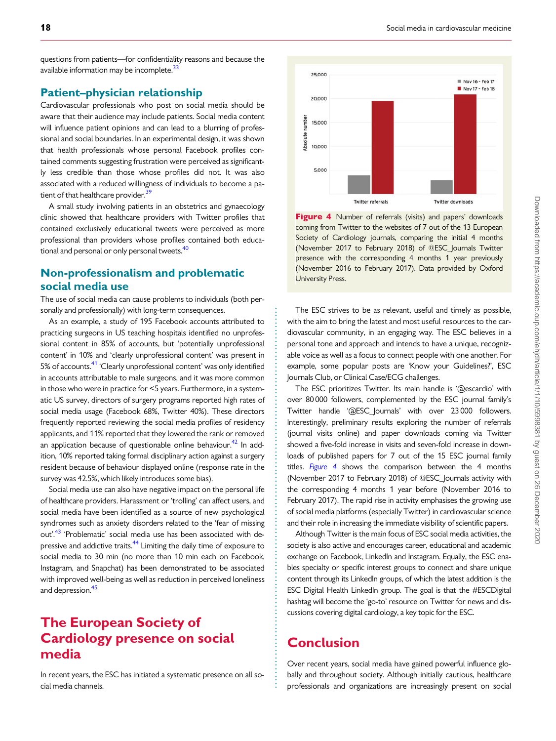<span id="page-8-0"></span>questions from patients—for confidentiality reasons and because the available information may be incomplete.<sup>33</sup>

### Patient–physician relationship

Cardiovascular professionals who post on social media should be aware that their audience may include patients. Social media content will influence patient opinions and can lead to a blurring of professional and social boundaries. In an experimental design, it was shown that health professionals whose personal Facebook profiles contained comments suggesting frustration were perceived as significantly less credible than those whose profiles did not. It was also associated with a reduced willingness of individuals to become a patient of that healthcare provider.<sup>3</sup>

A small study involving patients in an obstetrics and gynaecology clinic showed that healthcare providers with Twitter profiles that contained exclusively educational tweets were perceived as more professional than providers whose profiles contained both educational and personal or only personal tweets.<sup>40</sup>

## Non-professionalism and problematic social media use

The use of social media can cause problems to individuals (both personally and professionally) with long-term consequences.

As an example, a study of 195 Facebook accounts attributed to practicing surgeons in US teaching hospitals identified no unprofessional content in 85% of accounts, but 'potentially unprofessional content' in 10% and 'clearly unprofessional content' was present in 5% of accounts.<sup>41</sup> 'Clearly unprofessional content' was only identified in accounts attributable to male surgeons, and it was more common in those who were in practice for <5 years. Furthermore, in a systematic US survey, directors of surgery programs reported high rates of social media usage (Facebook 68%, Twitter 40%). These directors frequently reported reviewing the social media profiles of residency applicants, and 11% reported that they lowered the rank or removed an application because of questionable online behaviour.<sup>42</sup> In addition, 10% reported taking formal disciplinary action against a surgery resident because of behaviour displayed online (response rate in the survey was 42.5%, which likely introduces some bias).

Social media use can also have negative impact on the personal life of healthcare providers. Harassment or 'trolling' can affect users, and social media have been identified as a source of new psychological syndromes such as anxiety disorders related to the 'fear of missing out'.<sup>[43](#page-9-0)</sup> 'Problematic' social media use has been associated with depressive and addictive traits.<sup>44</sup> Limiting the daily time of exposure to social media to 30 min (no more than 10 min each on Facebook, Instagram, and Snapchat) has been demonstrated to be associated with improved well-being as well as reduction in perceived loneliness and depression.<sup>[45](#page-9-0)</sup>

# The European Society of Cardiology presence on social media

In recent years, the ESC has initiated a systematic presence on all social media channels.



Figure 4 Number of referrals (visits) and papers' downloads coming from Twitter to the websites of 7 out of the 13 European Society of Cardiology journals, comparing the initial 4 months (November 2017 to February 2018) of @ESC\_Journals Twitter presence with the corresponding 4 months 1 year previously (November 2016 to February 2017). Data provided by Oxford University Press.

The ESC strives to be as relevant, useful and timely as possible, with the aim to bring the latest and most useful resources to the cardiovascular community, in an engaging way. The ESC believes in a personal tone and approach and intends to have a unique, recognizable voice as well as a focus to connect people with one another. For example, some popular posts are 'Know your Guidelines?', ESC Journals Club, or Clinical Case/ECG challenges.

The ESC prioritizes Twitter. Its main handle is '@escardio' with over 80 000 followers, complemented by the ESC journal family's Twitter handle '@ESC\_Journals' with over 23 000 followers. Interestingly, preliminary results exploring the number of referrals (journal visits online) and paper downloads coming via Twitter showed a five-fold increase in visits and seven-fold increase in downloads of published papers for 7 out of the 15 ESC journal family titles. Figure 4 shows the comparison between the 4 months (November 2017 to February 2018) of @ESC\_Journals activity with the corresponding 4 months 1 year before (November 2016 to February 2017). The rapid rise in activity emphasises the growing use of social media platforms (especially Twitter) in cardiovascular science and their role in increasing the immediate visibility of scientific papers.

Although Twitter is the main focus of ESC social media activities, the society is also active and encourages career, educational and academic exchange on Facebook, LinkedIn and Instagram. Equally, the ESC enables specialty or specific interest groups to connect and share unique content through its LinkedIn groups, of which the latest addition is the ESC Digital Health LinkedIn group. The goal is that the #ESCDigital hashtag will become the 'go-to' resource on Twitter for news and discussions covering digital cardiology, a key topic for the ESC.

# Conclusion

. . . . . . . . . . . . . . . . . . . . . . . . . . . . . . . . . . . . . . . . . . . . . . . . . . . . . . . . . . . . . . . . . . . . . . . . . . . . . . . . . . . . . . . . . . . . . . . . . . . . . . . .

Over recent years, social media have gained powerful influence globally and throughout society. Although initially cautious, healthcare professionals and organizations are increasingly present on social